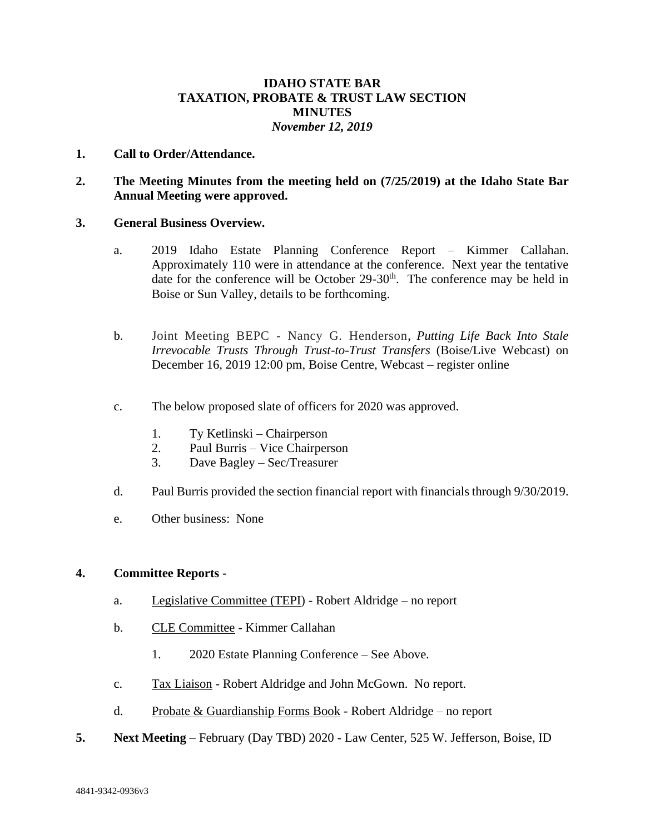## **IDAHO STATE BAR TAXATION, PROBATE & TRUST LAW SECTION MINUTES** *November 12, 2019*

#### **1. Call to Order/Attendance.**

### **2. The Meeting Minutes from the meeting held on (7/25/2019) at the Idaho State Bar Annual Meeting were approved.**

#### **3. General Business Overview.**

- a. 2019 Idaho Estate Planning Conference Report Kimmer Callahan. Approximately 110 were in attendance at the conference. Next year the tentative date for the conference will be October  $29-30<sup>th</sup>$ . The conference may be held in Boise or Sun Valley, details to be forthcoming.
- b. Joint Meeting BEPC Nancy G. Henderson, *Putting Life Back Into Stale Irrevocable Trusts Through Trust-to-Trust Transfers* (Boise/Live Webcast) on December 16, 2019 12:00 pm, Boise Centre, Webcast – register online
- c. The below proposed slate of officers for 2020 was approved.
	- 1. Ty Ketlinski Chairperson
	- 2. Paul Burris Vice Chairperson
	- 3. Dave Bagley Sec/Treasurer
- d. Paul Burris provided the section financial report with financials through 9/30/2019.
- e. Other business: None

#### **4. Committee Reports -**

- a. Legislative Committee (TEPI) Robert Aldridge no report
- b. CLE Committee Kimmer Callahan
	- 1. 2020 Estate Planning Conference See Above.
- c. Tax Liaison Robert Aldridge and John McGown. No report.
- d. Probate & Guardianship Forms Book Robert Aldridge no report
- **5. Next Meeting**  February (Day TBD) 2020 Law Center, 525 W. Jefferson, Boise, ID